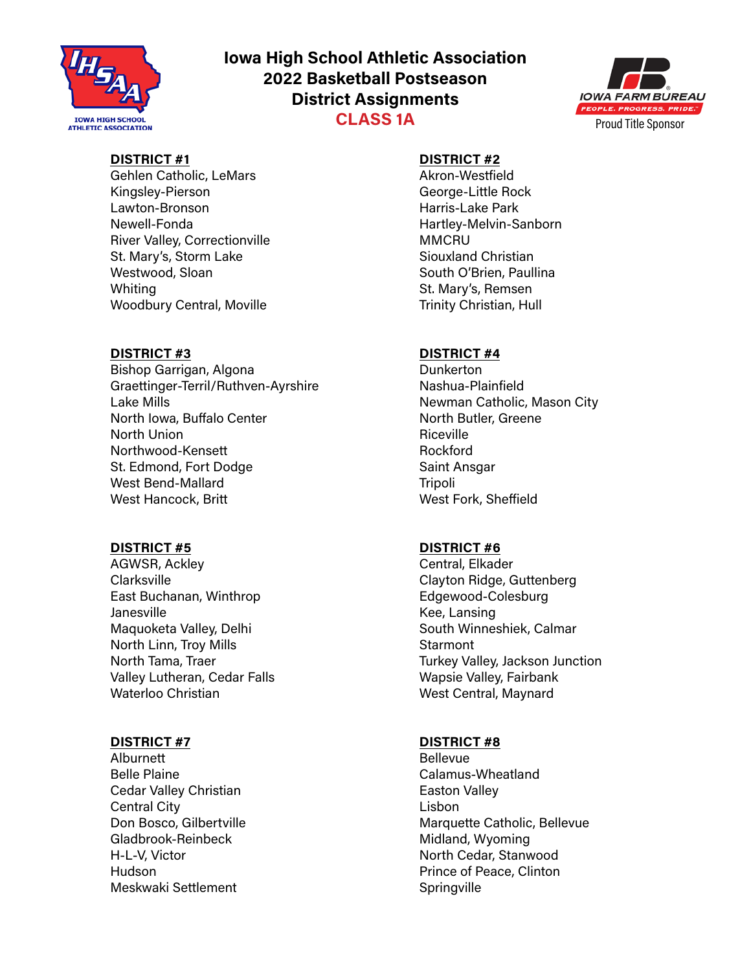

# **Iowa High School Athletic Association 2022 Basketball Postseason District Assignments CLASS 1A**



## **DISTRICT #1**

Gehlen Catholic, LeMars Kingsley-Pierson Lawton-Bronson Newell-Fonda River Valley, Correctionville St. Mary's, Storm Lake Westwood, Sloan Whiting Woodbury Central, Moville

### **DISTRICT #3**

Bishop Garrigan, Algona Graettinger-Terril/Ruthven-Ayrshire Lake Mills North Iowa, Buffalo Center North Union Northwood-Kensett St. Edmond, Fort Dodge West Bend-Mallard West Hancock, Britt

### **DISTRICT #5**

AGWSR, Ackley Clarksville East Buchanan, Winthrop Janesville Maquoketa Valley, Delhi North Linn, Troy Mills North Tama, Traer Valley Lutheran, Cedar Falls Waterloo Christian

## **DISTRICT #7**

Alburnett Belle Plaine Cedar Valley Christian Central City Don Bosco, Gilbertville Gladbrook-Reinbeck H-L-V, Victor Hudson Meskwaki Settlement

### **DISTRICT #2**

Akron-Westfield George-Little Rock Harris-Lake Park Hartley-Melvin-Sanborn **MMCRU** Siouxland Christian South O'Brien, Paullina St. Mary's, Remsen Trinity Christian, Hull

### **DISTRICT #4**

**Dunkerton** Nashua-Plainfield Newman Catholic, Mason City North Butler, Greene Riceville Rockford Saint Ansgar **Tripoli** West Fork, Sheffield

### **DISTRICT #6**

Central, Elkader Clayton Ridge, Guttenberg Edgewood-Colesburg Kee, Lansing South Winneshiek, Calmar **Starmont** Turkey Valley, Jackson Junction Wapsie Valley, Fairbank West Central, Maynard

### **DISTRICT #8**

Bellevue Calamus-Wheatland Easton Valley Lisbon Marquette Catholic, Bellevue Midland, Wyoming North Cedar, Stanwood Prince of Peace, Clinton **Springville**